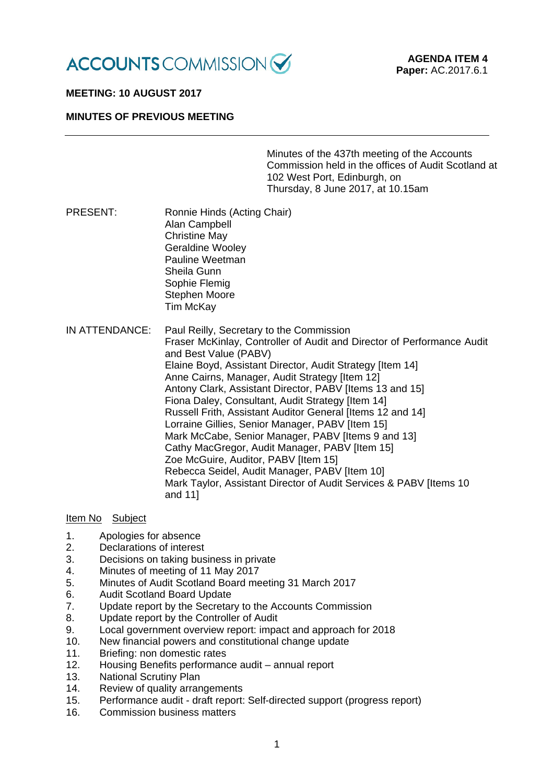

# **MEETING: 10 AUGUST 2017**

## **MINUTES OF PREVIOUS MEETING**

Minutes of the 437th meeting of the Accounts Commission held in the offices of Audit Scotland at 102 West Port, Edinburgh, on Thursday, 8 June 2017, at 10.15am

- PRESENT: Ronnie Hinds (Acting Chair) Alan Campbell Christine May Geraldine Wooley Pauline Weetman Sheila Gunn Sophie Flemig Stephen Moore Tim McKay
- IN ATTENDANCE: Paul Reilly, Secretary to the Commission Fraser McKinlay, Controller of Audit and Director of Performance Audit and Best Value (PABV) Elaine Boyd, Assistant Director, Audit Strategy [Item 14] Anne Cairns, Manager, Audit Strategy [Item 12] Antony Clark, Assistant Director, PABV [Items 13 and 15] Fiona Daley, Consultant, Audit Strategy [Item 14] Russell Frith, Assistant Auditor General [Items 12 and 14] Lorraine Gillies, Senior Manager, PABV [Item 15] Mark McCabe, Senior Manager, PABV IItems 9 and 131 Cathy MacGregor, Audit Manager, PABV [Item 15] Zoe McGuire, Auditor, PABV [Item 15] Rebecca Seidel, Audit Manager, PABV [Item 10] Mark Taylor, Assistant Director of Audit Services & PABV [Items 10 and 11]

## Item No Subject

- 
- 1. Apologies for absence<br>2. Declarations of interes Declarations of interest
- 3. Decisions on taking business in private
- 4. Minutes of meeting of 11 May 2017
- 5. Minutes of Audit Scotland Board meeting 31 March 2017
- 6. Audit Scotland Board Update
- 7. Update report by the Secretary to the Accounts Commission
- 8. Update report by the Controller of Audit
- 9. Local government overview report: impact and approach for 2018
- 10. New financial powers and constitutional change update
- 11. Briefing: non domestic rates
- 12. Housing Benefits performance audit annual report
- 13. National Scrutiny Plan
- 14. Review of quality arrangements
- 15. Performance audit draft report: Self-directed support (progress report)
- 16. Commission business matters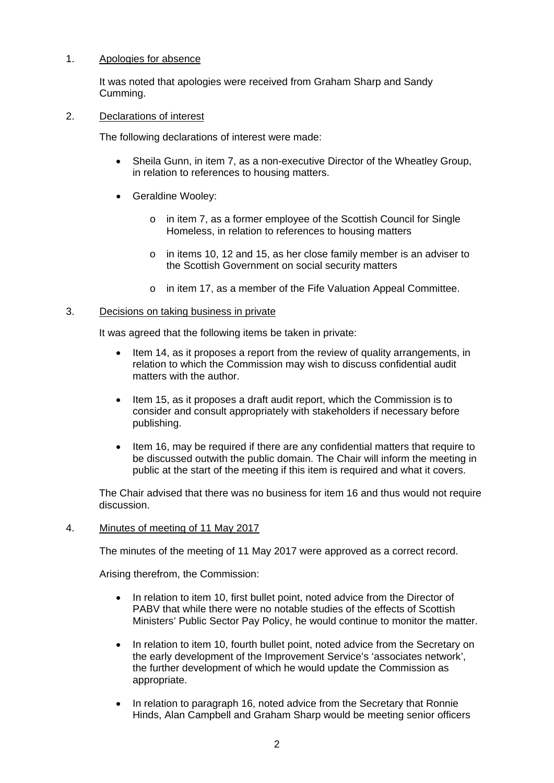## 1. Apologies for absence

It was noted that apologies were received from Graham Sharp and Sandy Cumming.

### 2. Declarations of interest

The following declarations of interest were made:

- Sheila Gunn, in item 7, as a non-executive Director of the Wheatley Group, in relation to references to housing matters.
- Geraldine Wooley:
	- o in item 7, as a former employee of the Scottish Council for Single Homeless, in relation to references to housing matters
	- o in items 10, 12 and 15, as her close family member is an adviser to the Scottish Government on social security matters
	- o in item 17, as a member of the Fife Valuation Appeal Committee.

## 3. Decisions on taking business in private

It was agreed that the following items be taken in private:

- Item 14, as it proposes a report from the review of quality arrangements, in relation to which the Commission may wish to discuss confidential audit matters with the author.
- Item 15, as it proposes a draft audit report, which the Commission is to consider and consult appropriately with stakeholders if necessary before publishing.
- Item 16, may be required if there are any confidential matters that require to be discussed outwith the public domain. The Chair will inform the meeting in public at the start of the meeting if this item is required and what it covers.

The Chair advised that there was no business for item 16 and thus would not require discussion.

#### 4. Minutes of meeting of 11 May 2017

The minutes of the meeting of 11 May 2017 were approved as a correct record.

Arising therefrom, the Commission:

- In relation to item 10, first bullet point, noted advice from the Director of PABV that while there were no notable studies of the effects of Scottish Ministers' Public Sector Pay Policy, he would continue to monitor the matter.
- In relation to item 10, fourth bullet point, noted advice from the Secretary on the early development of the Improvement Service's 'associates network', the further development of which he would update the Commission as appropriate.
- In relation to paragraph 16, noted advice from the Secretary that Ronnie Hinds, Alan Campbell and Graham Sharp would be meeting senior officers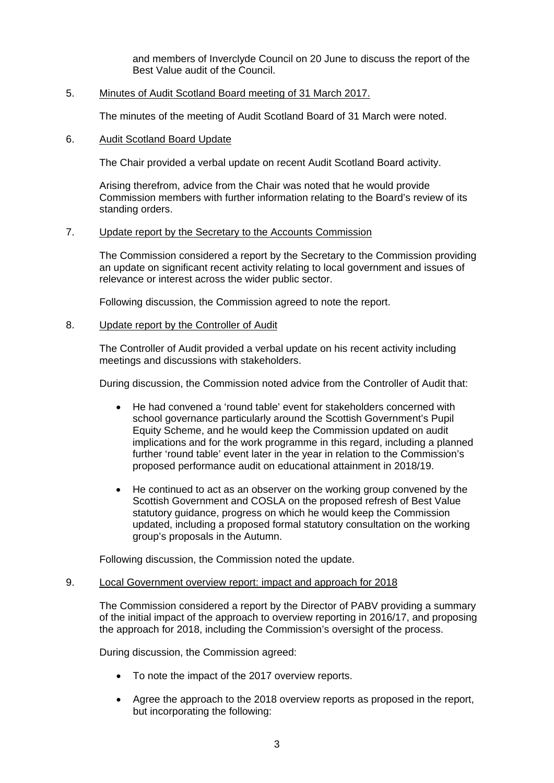and members of Inverclyde Council on 20 June to discuss the report of the Best Value audit of the Council.

## 5. Minutes of Audit Scotland Board meeting of 31 March 2017.

The minutes of the meeting of Audit Scotland Board of 31 March were noted.

### 6. Audit Scotland Board Update

The Chair provided a verbal update on recent Audit Scotland Board activity.

Arising therefrom, advice from the Chair was noted that he would provide Commission members with further information relating to the Board's review of its standing orders.

## 7. Update report by the Secretary to the Accounts Commission

The Commission considered a report by the Secretary to the Commission providing an update on significant recent activity relating to local government and issues of relevance or interest across the wider public sector.

Following discussion, the Commission agreed to note the report.

#### 8. Update report by the Controller of Audit

The Controller of Audit provided a verbal update on his recent activity including meetings and discussions with stakeholders.

During discussion, the Commission noted advice from the Controller of Audit that:

- He had convened a 'round table' event for stakeholders concerned with school governance particularly around the Scottish Government's Pupil Equity Scheme, and he would keep the Commission updated on audit implications and for the work programme in this regard, including a planned further 'round table' event later in the year in relation to the Commission's proposed performance audit on educational attainment in 2018/19.
- He continued to act as an observer on the working group convened by the Scottish Government and COSLA on the proposed refresh of Best Value statutory guidance, progress on which he would keep the Commission updated, including a proposed formal statutory consultation on the working group's proposals in the Autumn.

Following discussion, the Commission noted the update.

#### 9. Local Government overview report: impact and approach for 2018

The Commission considered a report by the Director of PABV providing a summary of the initial impact of the approach to overview reporting in 2016/17, and proposing the approach for 2018, including the Commission's oversight of the process.

During discussion, the Commission agreed:

- To note the impact of the 2017 overview reports.
- Agree the approach to the 2018 overview reports as proposed in the report, but incorporating the following: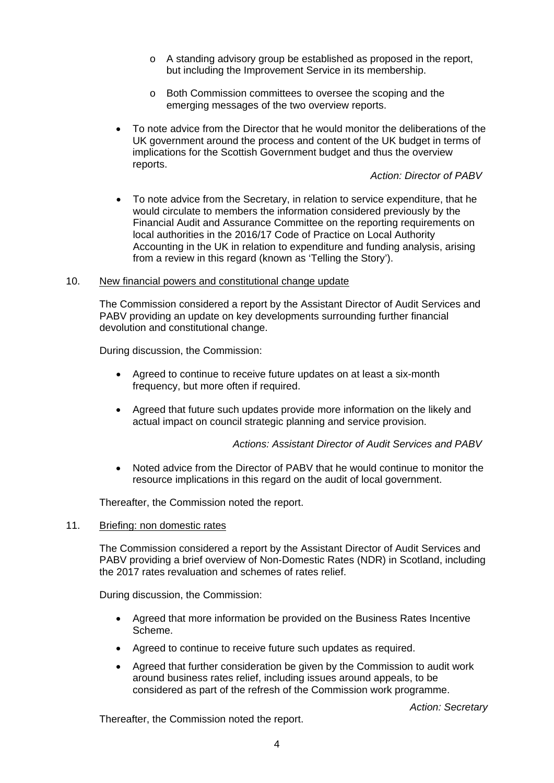- o A standing advisory group be established as proposed in the report, but including the Improvement Service in its membership.
- o Both Commission committees to oversee the scoping and the emerging messages of the two overview reports.
- To note advice from the Director that he would monitor the deliberations of the UK government around the process and content of the UK budget in terms of implications for the Scottish Government budget and thus the overview reports.

*Action: Director of PABV*

• To note advice from the Secretary, in relation to service expenditure, that he would circulate to members the information considered previously by the Financial Audit and Assurance Committee on the reporting requirements on local authorities in the 2016/17 Code of Practice on Local Authority Accounting in the UK in relation to expenditure and funding analysis, arising from a review in this regard (known as 'Telling the Story').

## 10. New financial powers and constitutional change update

The Commission considered a report by the Assistant Director of Audit Services and PABV providing an update on key developments surrounding further financial devolution and constitutional change.

During discussion, the Commission:

- Agreed to continue to receive future updates on at least a six-month frequency, but more often if required.
- Agreed that future such updates provide more information on the likely and actual impact on council strategic planning and service provision.

# *Actions: Assistant Director of Audit Services and PABV*

• Noted advice from the Director of PABV that he would continue to monitor the resource implications in this regard on the audit of local government.

Thereafter, the Commission noted the report.

### 11. Briefing: non domestic rates

The Commission considered a report by the Assistant Director of Audit Services and PABV providing a brief overview of Non-Domestic Rates (NDR) in Scotland, including the 2017 rates revaluation and schemes of rates relief.

During discussion, the Commission:

- Agreed that more information be provided on the Business Rates Incentive Scheme.
- Agreed to continue to receive future such updates as required.
- Agreed that further consideration be given by the Commission to audit work around business rates relief, including issues around appeals, to be considered as part of the refresh of the Commission work programme.

*Action: Secretary*

Thereafter, the Commission noted the report.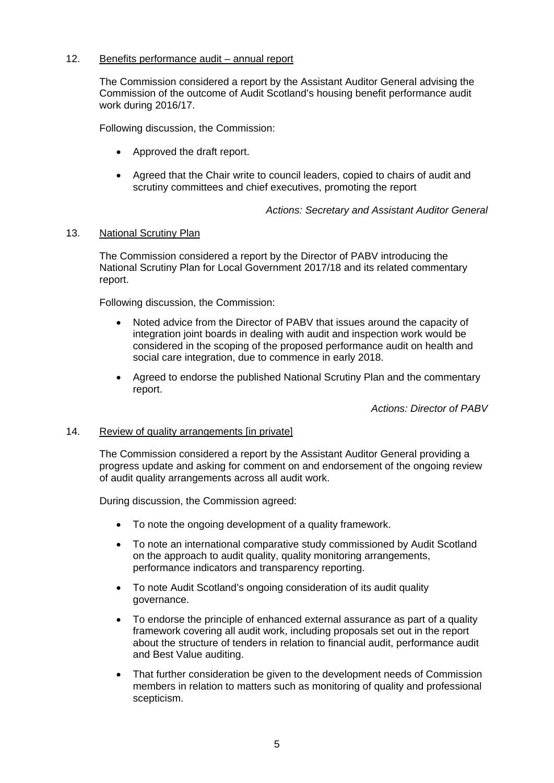# 12. Benefits performance audit – annual report

The Commission considered a report by the Assistant Auditor General advising the Commission of the outcome of Audit Scotland's housing benefit performance audit work during 2016/17.

Following discussion, the Commission:

- Approved the draft report.
- Agreed that the Chair write to council leaders, copied to chairs of audit and scrutiny committees and chief executives, promoting the report

*Actions: Secretary and Assistant Auditor General*

## 13. National Scrutiny Plan

The Commission considered a report by the Director of PABV introducing the National Scrutiny Plan for Local Government 2017/18 and its related commentary report.

Following discussion, the Commission:

- Noted advice from the Director of PABV that issues around the capacity of integration joint boards in dealing with audit and inspection work would be considered in the scoping of the proposed performance audit on health and social care integration, due to commence in early 2018.
- Agreed to endorse the published National Scrutiny Plan and the commentary report.

*Actions: Director of PABV*

#### 14. Review of quality arrangements [in private]

The Commission considered a report by the Assistant Auditor General providing a progress update and asking for comment on and endorsement of the ongoing review of audit quality arrangements across all audit work.

During discussion, the Commission agreed:

- To note the ongoing development of a quality framework.
- To note an international comparative study commissioned by Audit Scotland on the approach to audit quality, quality monitoring arrangements, performance indicators and transparency reporting.
- To note Audit Scotland's ongoing consideration of its audit quality governance.
- To endorse the principle of enhanced external assurance as part of a quality framework covering all audit work, including proposals set out in the report about the structure of tenders in relation to financial audit, performance audit and Best Value auditing.
- That further consideration be given to the development needs of Commission members in relation to matters such as monitoring of quality and professional scepticism.